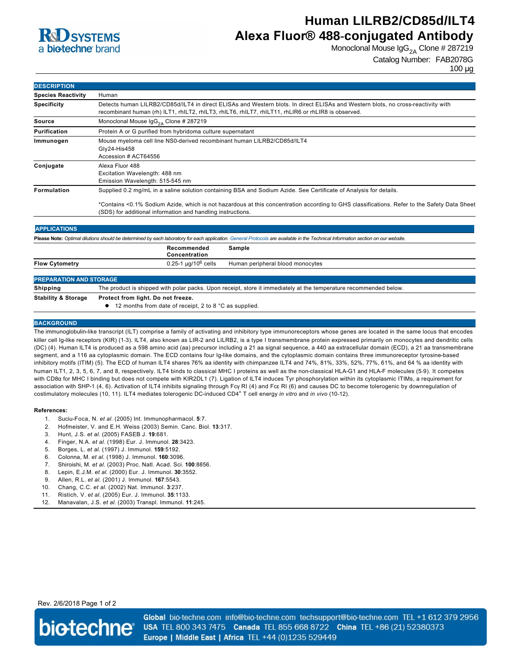

# **Human LILRB2/CD85d/ILT4 Alexa Fluor® 488-conjugated Antibody**

Monoclonal Mouse  $\log_{2A}$  Clone # 287219

### Catalog Number: FAB2078G

100 µg

| <b>DESCRIPTION</b>             |                                                                                                                                                                                                                                                                                                                                 |
|--------------------------------|---------------------------------------------------------------------------------------------------------------------------------------------------------------------------------------------------------------------------------------------------------------------------------------------------------------------------------|
| <b>Species Reactivity</b>      | Human                                                                                                                                                                                                                                                                                                                           |
| <b>Specificity</b>             | Detects human LILRB2/CD85d/ILT4 in direct ELISAs and Western blots. In direct ELISAs and Western blots, no cross-reactivity with<br>recombinant human (rh) ILT1, rhILT2, rhILT3, rhILT6, rhILT7, rhILT11, rhLIR6 or rhLIR8 is observed.                                                                                         |
| <b>Source</b>                  | Monoclonal Mouse $\lg G_{24}$ Clone # 287219                                                                                                                                                                                                                                                                                    |
| Purification                   | Protein A or G purified from hybridoma culture supernatant                                                                                                                                                                                                                                                                      |
| Immunogen                      | Mouse myeloma cell line NS0-derived recombinant human LILRB2/CD85d/ILT4<br>Gly24-His458<br>Accession # ACT64556                                                                                                                                                                                                                 |
| Conjugate                      | Alexa Fluor 488<br>Excitation Wavelength: 488 nm<br>Emission Wavelength: 515-545 nm                                                                                                                                                                                                                                             |
| <b>Formulation</b>             | Supplied 0.2 mg/mL in a saline solution containing BSA and Sodium Azide. See Certificate of Analysis for details.<br>*Contains <0.1% Sodium Azide, which is not hazardous at this concentration according to GHS classifications. Refer to the Safety Data Sheet<br>(SDS) for additional information and handling instructions. |
| <b>APPLICATIONS</b>            |                                                                                                                                                                                                                                                                                                                                 |
|                                | Please Note: Optimal dilutions should be determined by each laboratory for each application. General Protocols are available in the Technical Information section on our website.                                                                                                                                               |
|                                | Recommended<br>Sample<br>Concentration                                                                                                                                                                                                                                                                                          |
| <b>Flow Cytometry</b>          | $0.25 - 1$ µg/10 <sup>6</sup> cells<br>Human peripheral blood monocytes                                                                                                                                                                                                                                                         |
| <b>PREPARATION AND STORAGE</b> |                                                                                                                                                                                                                                                                                                                                 |
| <b>Shipping</b>                | The product is shipped with polar packs. Upon receipt, store it immediately at the temperature recommended below.                                                                                                                                                                                                               |
| <b>Stability &amp; Storage</b> | Protect from light. Do not freeze.                                                                                                                                                                                                                                                                                              |
|                                | 12 months from date of receipt, 2 to 8 °C as supplied.                                                                                                                                                                                                                                                                          |

#### **BACKGROUND**

The immunoglobulin-like transcript (ILT) comprise a family of activating and inhibitory type immunoreceptors whose genes are located in the same locus that encodes killer cell Ig-like receptors (KIR) (1-3). ILT4, also known as LIR-2 and LILRB2, is a type I transmembrane protein expressed primarily on monocytes and dendritic cells (DC) (4). Human ILT4 is produced as a 598 amino acid (aa) precursor including a 21 aa signal sequence, a 440 aa extracellular domain (ECD), a 21 aa transmembrane segment, and a 116 aa cytoplasmic domain. The ECD contains four Ig-like domains, and the cytoplasmic domain contains three immunoreceptor tyrosine-based inhibitory motifs (ITIM) (5). The ECD of human ILT4 shares 76% aa identity with chimpanzee ILT4 and 74%, 81%, 33%, 52%, 77%, 61%, and 64 % aa identity with human ILT1, 2, 3, 5, 6, 7, and 8, respectively. ILT4 binds to classical MHC I proteins as well as the non-classical HLA-G1 and HLA-F molecules (5-9). It competes with CD8α for MHC I binding but does not compete with KIR2DL1 (7). Ligation of ILT4 induces Tyr phosphorylation within its cytoplasmic ITIMs, a requirement for association with SHP-1 (4, 6). Activation of ILT4 inhibits signaling through Fcγ RI (4) and Fcε RI (6) and causes DC to become tolerogenic by downregulation of costimulatory molecules (10, 11). ILT4 mediates tolerogenic DC-induced CD4<sup>+</sup> T cell energy *in vitro* and *in vivo* (10-12).

#### **References:**

- 1. SuciuFoca, N. *et al*. (2005) Int. Immunopharmacol. **5**:7.
- 2. Hofmeister, V. and E.H. Weiss (2003) Semin. Canc. Biol. **13**:317.
- 3. Hunt, J.S. *et al*. (2005) FASEB J. **19**:681.
- 4. Finger, N.A. *et al*. (1998) Eur. J. Immunol. **28**:3423.
- 5. Borges, L. *et al*. (1997) J. Immunol. **159**:5192.
- 6. Colonna, M. *et al*. (1998) J. Immunol. **160**:3096.
- 7. Shiroishi, M. *et al*. (2003) Proc. Natl. Acad. Sci. **100**:8856.
- 8. Lepin, E.J.M. *et al*. (2000) Eur. J. Immunol. **30**:3552.
- 9. Allen, R.L. *et al*. (2001) J. Immunol. **167**:5543.
- 10. Chang, C.C. *et al*. (2002) Nat. Immunol. **3**:237.
- 11. Ristich, V. *et al*. (2005) Eur. J. Immunol. **35**:1133.
- 12. Manavalan, J.S. *et al*. (2003) Transpl. Immunol. **11**:245.

Rev. 2/6/2018 Page 1 of 2



Global bio-techne.com info@bio-techne.com techsupport@bio-techne.com TEL +1 612 379 2956 USA TEL 800 343 7475 Canada TEL 855 668 8722 China TEL +86 (21) 52380373 Europe | Middle East | Africa TEL +44 (0)1235 529449